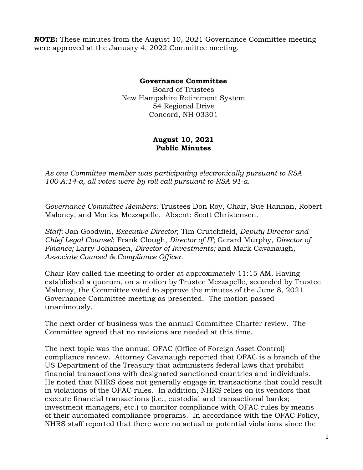**NOTE:** These minutes from the August 10, 2021 Governance Committee meeting were approved at the January 4, 2022 Committee meeting.

## **Governance Committee**

Board of Trustees New Hampshire Retirement System 54 Regional Drive Concord, NH 03301

## **August 10, 2021 Public Minutes**

*As one Committee member was participating electronically pursuant to RSA 100-A:14-a, all votes were by roll call pursuant to RSA 91-a.* 

*Governance Committee Members:* Trustees Don Roy, Chair, Sue Hannan, Robert Maloney, and Monica Mezzapelle. Absent: Scott Christensen.

*Staff:* Jan Goodwin, *Executive Director*; Tim Crutchfield*, Deputy Director and Chief Legal Counsel*; Frank Clough, *Director of IT;* Gerard Murphy, *Director of Finance;* Larry Johansen, *Director of Investments;* and Mark Cavanaugh*, Associate Counsel & Compliance Officer.* 

Chair Roy called the meeting to order at approximately 11:15 AM. Having established a quorum, on a motion by Trustee Mezzapelle, seconded by Trustee Maloney, the Committee voted to approve the minutes of the June 8, 2021 Governance Committee meeting as presented. The motion passed unanimously.

The next order of business was the annual Committee Charter review. The Committee agreed that no revisions are needed at this time.

The next topic was the annual OFAC (Office of Foreign Asset Control) compliance review. Attorney Cavanaugh reported that OFAC is a branch of the US Department of the Treasury that administers federal laws that prohibit financial transactions with designated sanctioned countries and individuals. He noted that NHRS does not generally engage in transactions that could result in violations of the OFAC rules. In addition, NHRS relies on its vendors that execute financial transactions (i.e., custodial and transactional banks; investment managers, etc.) to monitor compliance with OFAC rules by means of their automated compliance programs. In accordance with the OFAC Policy, NHRS staff reported that there were no actual or potential violations since the